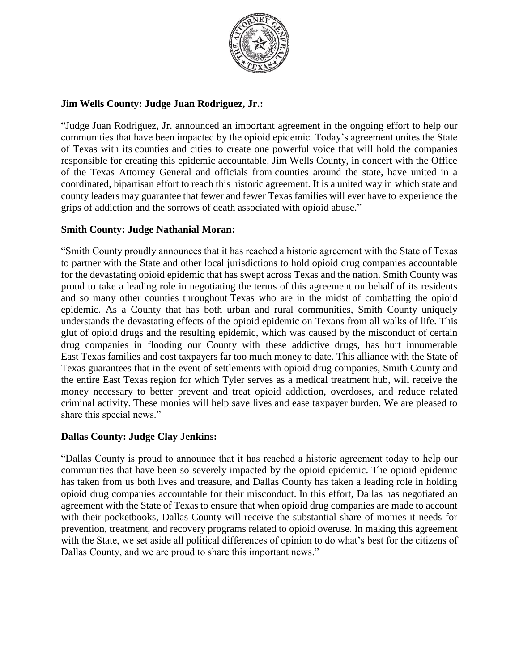

# **Jim Wells County: Judge Juan Rodriguez, Jr.:**

"Judge Juan Rodriguez, Jr. announced an important agreement in the ongoing effort to help our communities that have been impacted by the opioid epidemic. Today's agreement unites the State of Texas with its counties and cities to create one powerful voice that will hold the companies responsible for creating this epidemic accountable. Jim Wells County, in concert with the Office of the Texas Attorney General and officials from counties around the state, have united in a coordinated, bipartisan effort to reach this historic agreement. It is a united way in which state and county leaders may guarantee that fewer and fewer Texas families will ever have to experience the grips of addiction and the sorrows of death associated with opioid abuse."

# **Smith County: Judge Nathanial Moran:**

"Smith County proudly announces that it has reached a historic agreement with the State of Texas to partner with the State and other local jurisdictions to hold opioid drug companies accountable for the devastating opioid epidemic that has swept across Texas and the nation. Smith County was proud to take a leading role in negotiating the terms of this agreement on behalf of its residents and so many other counties throughout Texas who are in the midst of combatting the opioid epidemic. As a County that has both urban and rural communities, Smith County uniquely understands the devastating effects of the opioid epidemic on Texans from all walks of life. This glut of opioid drugs and the resulting epidemic, which was caused by the misconduct of certain drug companies in flooding our County with these addictive drugs, has hurt innumerable East Texas families and cost taxpayers far too much money to date. This alliance with the State of Texas guarantees that in the event of settlements with opioid drug companies, Smith County and the entire East Texas region for which Tyler serves as a medical treatment hub, will receive the money necessary to better prevent and treat opioid addiction, overdoses, and reduce related criminal activity. These monies will help save lives and ease taxpayer burden. We are pleased to share this special news."

# **Dallas County: Judge Clay Jenkins:**

"Dallas County is proud to announce that it has reached a historic agreement today to help our communities that have been so severely impacted by the opioid epidemic. The opioid epidemic has taken from us both lives and treasure, and Dallas County has taken a leading role in holding opioid drug companies accountable for their misconduct. In this effort, Dallas has negotiated an agreement with the State of Texas to ensure that when opioid drug companies are made to account with their pocketbooks, Dallas County will receive the substantial share of monies it needs for prevention, treatment, and recovery programs related to opioid overuse. In making this agreement with the State, we set aside all political differences of opinion to do what's best for the citizens of Dallas County, and we are proud to share this important news."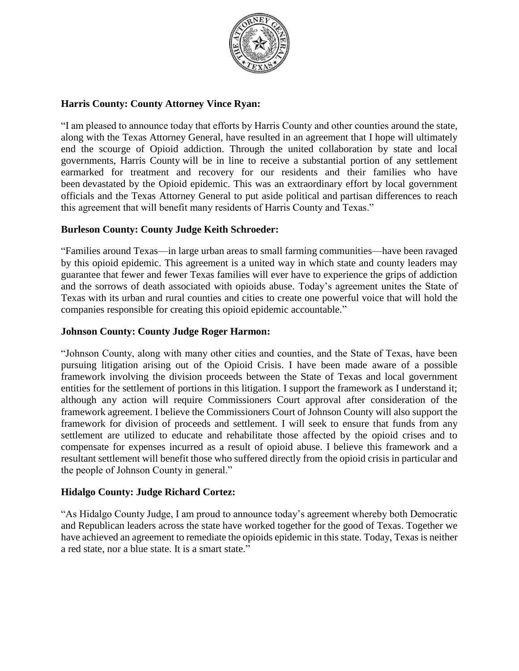

### **Harris County: County Attorney Vince Ryan:**

"I am pleased to announce today that efforts by Harris County and other counties around the state, along with the Texas Attorney General, have resulted in an agreement that I hope will ultimately end the scourge of Opioid addiction. Through the united collaboration by state and local governments, Harris County will be in line to receive a substantial portion of any settlement earmarked for treatment and recovery for our residents and their families who have been devastated by the Opioid epidemic. This was an extraordinary effort by local government officials and the Texas Attorney General to put aside political and partisan differences to reach this agreement that will benefit many residents of Harris County and Texas."

#### **Burleson County: County Judge Keith Schroeder:**

"Families around Texas—in large urban areas to small farming communities—have been ravaged by this opioid epidemic. This agreement is a united way in which state and county leaders may guarantee that fewer and fewer Texas families will ever have to experience the grips of addiction and the sorrows of death associated with opioids abuse. Today's agreement unites the State of Texas with its urban and rural counties and cities to create one powerful voice that will hold the companies responsible for creating this opioid epidemic accountable."

#### **Johnson County: County Judge Roger Harmon:**

"Johnson County, along with many other cities and counties, and the State of Texas, have been pursuing litigation arising out of the Opioid Crisis. I have been made aware of a possible framework involving the division proceeds between the State of Texas and local government entities for the settlement of portions in this litigation. I support the framework as I understand it; although any action will require Commissioners Court approval after consideration of the framework agreement. I believe the Commissioners Court of Johnson County will also support the framework for division of proceeds and settlement. I will seek to ensure that funds from any settlement are utilized to educate and rehabilitate those affected by the opioid crises and to compensate for expenses incurred as a result of opioid abuse. I believe this framework and a resultant settlement will benefit those who suffered directly from the opioid crisis in particular and the people of Johnson County in general."

#### **Hidalgo County: Judge Richard Cortez:**

"As Hidalgo County Judge, I am proud to announce today's agreement whereby both Democratic and Republican leaders across the state have worked together for the good of Texas. Together we have achieved an agreement to remediate the opioids epidemic in this state. Today, Texas is neither a red state, nor a blue state. It is a smart state."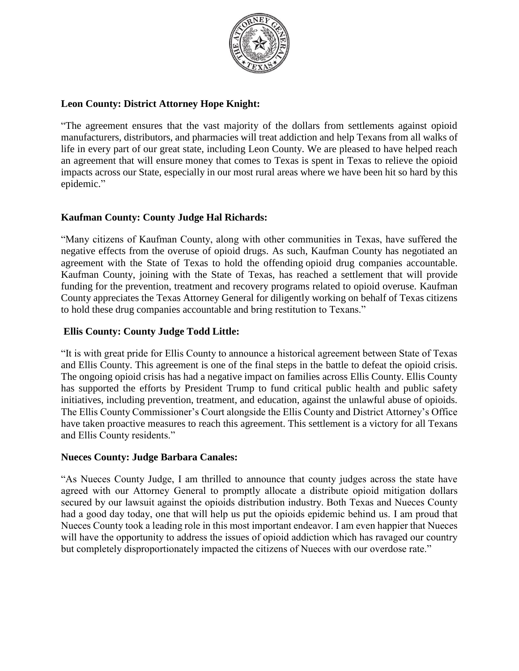

# **Leon County: District Attorney Hope Knight:**

"The agreement ensures that the vast majority of the dollars from settlements against opioid manufacturers, distributors, and pharmacies will treat addiction and help Texans from all walks of life in every part of our great state, including Leon County. We are pleased to have helped reach an agreement that will ensure money that comes to Texas is spent in Texas to relieve the opioid impacts across our State, especially in our most rural areas where we have been hit so hard by this epidemic."

# **Kaufman County: County Judge Hal Richards:**

"Many citizens of Kaufman County, along with other communities in Texas, have suffered the negative effects from the overuse of opioid drugs. As such, Kaufman County has negotiated an agreement with the State of Texas to hold the offendin[g](https://www.google.com/maps/search/100+W.+Mulberry+%0D%0A+Kaufman,+Texas+75142?entry=gmail&source=g) opioid drug companies accountable. Kaufman County, joining with the State of Texas, has reached a settlement that will provide funding for the prevention, treatment and recovery programs related to opioid overuse. Kaufman County appreciates the Texas Attorney General for diligently working on behalf of Texas citizens to hold these drug companies accountable and bring restitution to Texans."

# **Ellis County: County Judge Todd Little:**

"It is with great pride for Ellis County to announce a historical agreement between State of Texas and Ellis County. This agreement is one of the final steps in the battle to defeat the opioid crisis. The ongoing opioid crisis has had a negative impact on families across Ellis County. Ellis County has supported the efforts by President Trump to fund critical public health and public safety initiatives, including prevention, treatment, and education, against the unlawful abuse of opioids. The Ellis County Commissioner's Court alongside the Ellis County and District Attorney's Office have taken proactive measures to reach this agreement. This settlement is a victory for all Texans and Ellis County residents."

# **Nueces County: Judge Barbara Canales:**

"As Nueces County Judge, I am thrilled to announce that county judges across the state have agreed with our Attorney General to promptly allocate a distribute opioid mitigation dollars secured by our lawsuit against the opioids distribution industry. Both Texas and Nueces County had a good day today, one that will help us put the opioids epidemic behind us. I am proud that Nueces County took a leading role in this most important endeavor. I am even happier that Nueces will have the opportunity to address the issues of opioid addiction which has ravaged our country but completely disproportionately impacted the citizens of Nueces with our overdose rate."